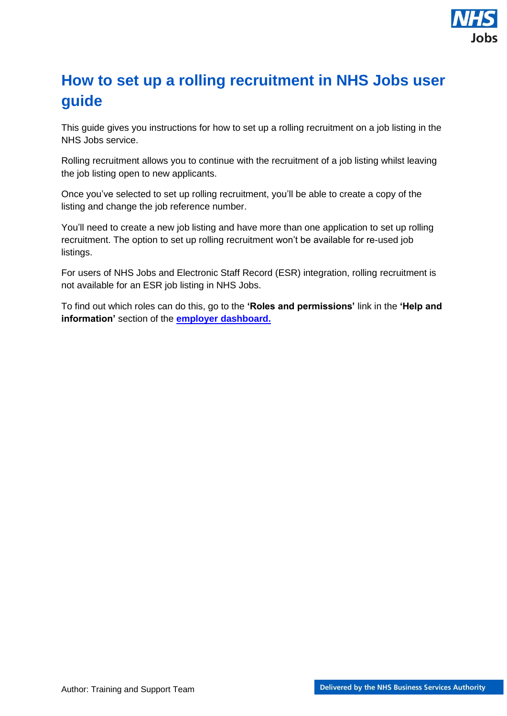

# <span id="page-0-0"></span>**How to set up a rolling recruitment in NHS Jobs user guide**

This guide gives you instructions for how to set up a rolling recruitment on a job listing in the NHS Jobs service.

Rolling recruitment allows you to continue with the recruitment of a job listing whilst leaving the job listing open to new applicants.

Once you've selected to set up rolling recruitment, you'll be able to create a copy of the listing and change the job reference number.

You'll need to create a new job listing and have more than one application to set up rolling recruitment. The option to set up rolling recruitment won't be available for re-used job listings.

For users of NHS Jobs and Electronic Staff Record (ESR) integration, rolling recruitment is not available for an ESR job listing in NHS Jobs.

To find out which roles can do this, go to the **'Roles and permissions'** link in the **'Help and information'** section of the **[employer dashboard.](https://beta.jobs.nhs.uk/home)**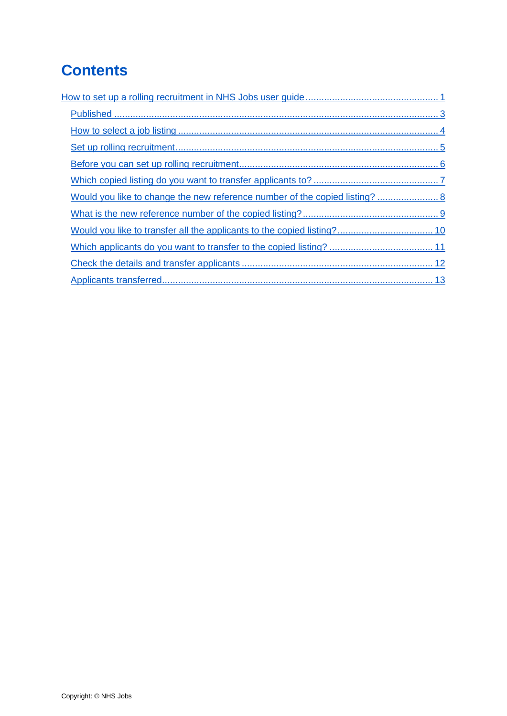# **Contents**

| Would you like to change the new reference number of the copied listing?  8 |
|-----------------------------------------------------------------------------|
|                                                                             |
|                                                                             |
|                                                                             |
|                                                                             |
|                                                                             |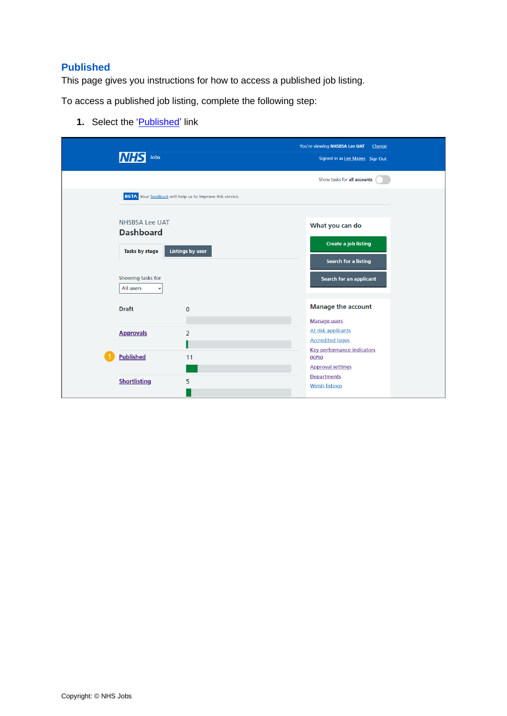# <span id="page-2-0"></span>**Published**

This page gives you instructions for how to access a published job listing.

To access a published job listing, complete the following step:

**1.** Select the '*Published'* link

| Jobs<br><b>INHS</b>                                             |                  | You're viewing NHSBSA Lee UAT<br>Change<br>Signed in as Lee Mapes Sign Out |  |
|-----------------------------------------------------------------|------------------|----------------------------------------------------------------------------|--|
|                                                                 |                  | Show tasks for all accounts                                                |  |
| <b>BETA</b> Your feedback will help us to improve this service. |                  |                                                                            |  |
| <b>NHSBSA Lee UAT</b><br><b>Dashboard</b>                       |                  | What you can do                                                            |  |
| Tasks by stage                                                  | Listings by user | <b>Create a job listing</b><br><b>Search for a listing</b>                 |  |
| Showing tasks for<br>All users                                  |                  | <b>Search for an applicant</b>                                             |  |
| <b>Draft</b>                                                    | $\mathbf{0}$     | <b>Manage the account</b>                                                  |  |
|                                                                 |                  | Manage users                                                               |  |
| <b>Approvals</b>                                                | $\overline{2}$   | At risk applicants                                                         |  |
|                                                                 |                  | <b>Accredited logos</b>                                                    |  |
| <b>Published</b>                                                | 11               | Key performance indicators<br>(KPIs)                                       |  |
|                                                                 |                  | <b>Approval settings</b>                                                   |  |
| <b>Shortlisting</b>                                             | 5                | Departments<br><b>Welsh listings</b>                                       |  |
|                                                                 |                  |                                                                            |  |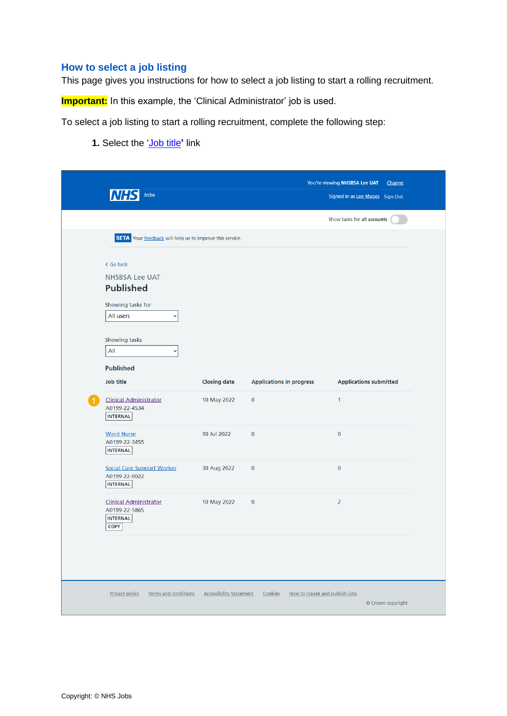# <span id="page-3-0"></span>**How to select a job listing**

This page gives you instructions for how to select a job listing to start a rolling recruitment.

**Important:** In this example, the 'Clinical Administrator' job is used.

To select a job listing to start a rolling recruitment, complete the following step:

**1.** Select the ['Job title](#page-4-0)**'** link

|                                                                 |                                |                                 | You're viewing NHSBSA Lee UAT<br>Change |
|-----------------------------------------------------------------|--------------------------------|---------------------------------|-----------------------------------------|
| Jobs                                                            |                                |                                 | Signed in as Lee Mapes Sign Out         |
|                                                                 |                                |                                 | Show tasks for all accounts             |
| <b>BETA</b> Your feedback will help us to improve this service. |                                |                                 |                                         |
|                                                                 |                                |                                 |                                         |
| < Go back                                                       |                                |                                 |                                         |
| <b>NHSBSA Lee UAT</b><br><b>Published</b>                       |                                |                                 |                                         |
|                                                                 |                                |                                 |                                         |
| Showing tasks for                                               |                                |                                 |                                         |
| All users<br>$\checkmark$                                       |                                |                                 |                                         |
| Showing tasks                                                   |                                |                                 |                                         |
| All<br>$\checkmark$                                             |                                |                                 |                                         |
|                                                                 |                                |                                 |                                         |
| <b>Published</b>                                                |                                |                                 |                                         |
| <b>Job title</b>                                                | <b>Closing date</b>            | <b>Applications in progress</b> | <b>Applications submitted</b>           |
| <b>Clinical Administrator</b><br>A0199-22-4534                  | 10 May 2022                    | $\bf{0}$                        | $\mathbf{1}$                            |
| <b>INTERNAL</b>                                                 |                                |                                 |                                         |
| <b>Ward Nurse</b>                                               | 30 Jul 2022                    | $\bf{0}$                        | $\bf{0}$                                |
| A0199-22-3455                                                   |                                |                                 |                                         |
| <b>INTERNAL</b>                                                 |                                |                                 |                                         |
| <b>Social Care Support Worker</b>                               | 30 Aug 2022                    | $\bf{0}$                        | $\bf{0}$                                |
| A0199-22-0022<br><b>INTERNAL</b>                                |                                |                                 |                                         |
| <b>Clinical Administrator</b>                                   |                                | $\mathbf{0}$                    | $\overline{2}$                          |
| A0199-22-5865                                                   | 10 May 2022                    |                                 |                                         |
| <b>INTERNAL</b><br><b>COPY</b>                                  |                                |                                 |                                         |
|                                                                 |                                |                                 |                                         |
|                                                                 |                                |                                 |                                         |
|                                                                 |                                |                                 |                                         |
|                                                                 |                                |                                 |                                         |
|                                                                 |                                |                                 |                                         |
| Terms and conditions<br>Privacy policy                          | <b>Accessibility Statement</b> | Cookies                         | How to create and publish jobs          |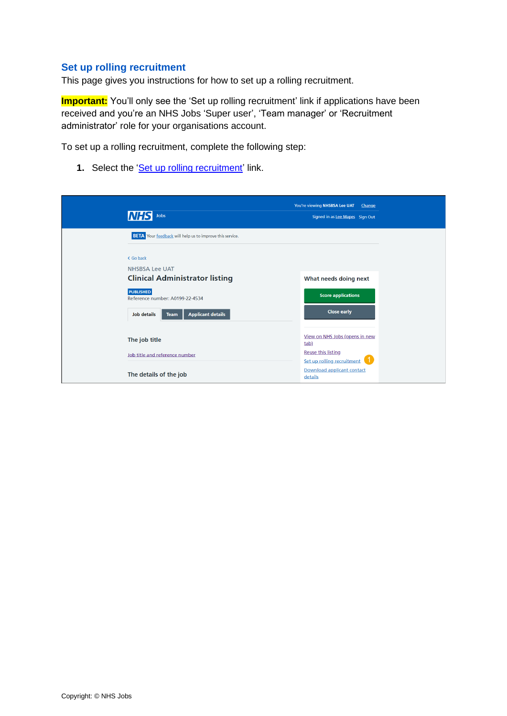#### <span id="page-4-0"></span>**Set up rolling recruitment**

This page gives you instructions for how to set up a rolling recruitment.

**Important:** You'll only see the 'Set up rolling recruitment' link if applications have been received and you're an NHS Jobs 'Super user', 'Team manager' or 'Recruitment administrator' role for your organisations account.

To set up a rolling recruitment, complete the following step:

1. Select the ['Set up rolling recruitment'](#page-5-0) link.

| <b>NHS</b><br>Jobs                                              | You're viewing NHSBSA Lee UAT Change<br>Signed in as Lee Mapes Sign Out    |
|-----------------------------------------------------------------|----------------------------------------------------------------------------|
| <b>BETA</b> Your feedback will help us to improve this service. |                                                                            |
| < Go back<br><b>NHSBSA Lee UAT</b>                              |                                                                            |
| <b>Clinical Administrator listing</b>                           | What needs doing next                                                      |
| <b>PUBLISHED</b><br>Reference number: A0199-22-4534             | <b>Score applications</b>                                                  |
| <b>Applicant details</b><br><b>Job details</b><br><b>Team</b>   | <b>Close early</b>                                                         |
|                                                                 |                                                                            |
| The job title                                                   | View on NHS Jobs (opens in new<br>tab)                                     |
| Job title and reference number                                  | <b>Reuse this listing</b>                                                  |
| The details of the job                                          | Set up rolling recruitment<br><b>Download applicant contact</b><br>details |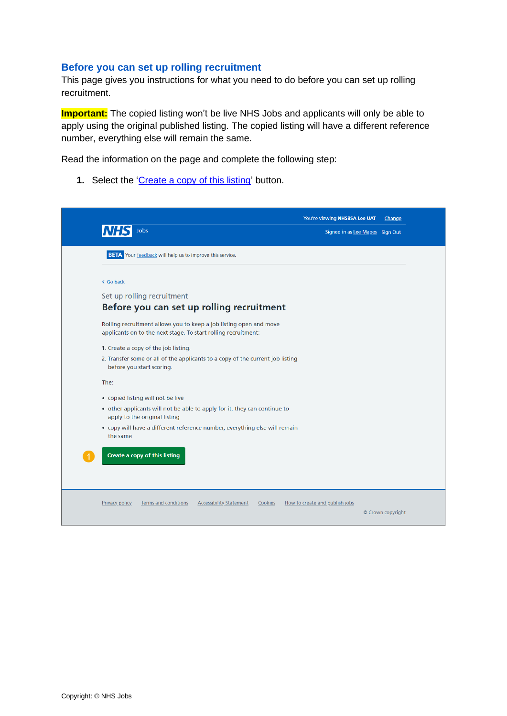#### <span id="page-5-0"></span>**Before you can set up rolling recruitment**

This page gives you instructions for what you need to do before you can set up rolling recruitment.

**Important:** The copied listing won't be live NHS Jobs and applicants will only be able to apply using the original published listing. The copied listing will have a different reference number, everything else will remain the same.

Read the information on the page and complete the following step:

1. Select the ['Create a copy of this listing'](#page-6-0) button.

| Jobs                                                                                                                                 | You're viewing NHSBSA Lee UAT<br>Signed in as Lee Mapes Sign Out | Change            |
|--------------------------------------------------------------------------------------------------------------------------------------|------------------------------------------------------------------|-------------------|
| <b>BETA</b> Your feedback will help us to improve this service.                                                                      |                                                                  |                   |
| < Go back                                                                                                                            |                                                                  |                   |
| Set up rolling recruitment                                                                                                           |                                                                  |                   |
| Before you can set up rolling recruitment                                                                                            |                                                                  |                   |
| Rolling recruitment allows you to keep a job listing open and move<br>applicants on to the next stage. To start rolling recruitment: |                                                                  |                   |
| 1. Create a copy of the job listing.                                                                                                 |                                                                  |                   |
| 2. Transfer some or all of the applicants to a copy of the current job listing<br>before you start scoring.                          |                                                                  |                   |
| The:                                                                                                                                 |                                                                  |                   |
| • copied listing will not be live                                                                                                    |                                                                  |                   |
| • other applicants will not be able to apply for it, they can continue to<br>apply to the original listing                           |                                                                  |                   |
| • copy will have a different reference number, everything else will remain<br>the same                                               |                                                                  |                   |
| Create a copy of this listing                                                                                                        |                                                                  |                   |
|                                                                                                                                      |                                                                  |                   |
| <b>Privacy policy</b><br><b>Terms and conditions</b><br><b>Accessibility Statement</b><br>Cookies                                    | How to create and publish jobs                                   | © Crown copyright |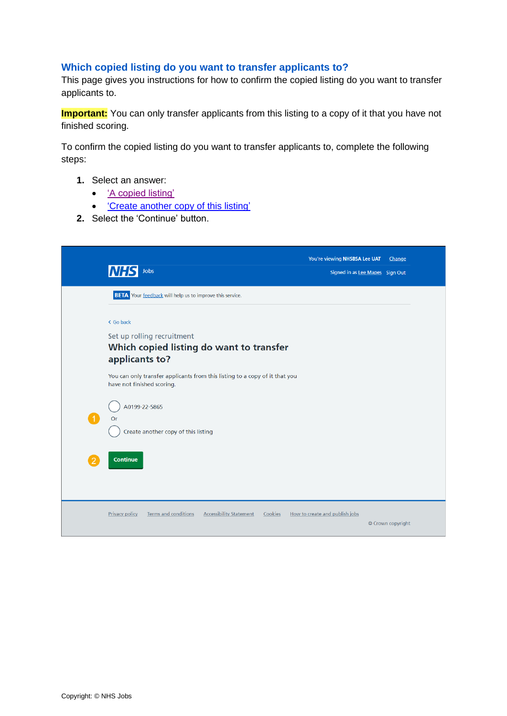#### <span id="page-6-0"></span>**Which copied listing do you want to transfer applicants to?**

This page gives you instructions for how to confirm the copied listing do you want to transfer applicants to.

**Important:** You can only transfer applicants from this listing to a copy of it that you have not finished scoring.

To confirm the copied listing do you want to transfer applicants to, complete the following steps:

- **1.** Select an answer:
	- 'A [copied listing'](#page-9-0)
	- ['Create another copy of this listing'](#page-6-0)
- **2.** Select the 'Continue' button.

|         | <b>INHS</b><br>Jobs                                                                                                                                                                                                                                                                           | You're viewing NHSBSA Lee UAT<br>Signed in as Lee Mapes Sign Out | Change            |
|---------|-----------------------------------------------------------------------------------------------------------------------------------------------------------------------------------------------------------------------------------------------------------------------------------------------|------------------------------------------------------------------|-------------------|
|         | <b>BETA</b> Your feedback will help us to improve this service.                                                                                                                                                                                                                               |                                                                  |                   |
| Or<br>ာ | < Go back<br>Set up rolling recruitment<br>Which copied listing do want to transfer<br>applicants to?<br>You can only transfer applicants from this listing to a copy of it that you<br>have not finished scoring.<br>A0199-22-5865<br>Create another copy of this listing<br><b>Continue</b> |                                                                  |                   |
|         | <b>Privacy policy</b><br>Terms and conditions<br><b>Accessibility Statement</b><br>Cookies                                                                                                                                                                                                    | How to create and publish jobs                                   | © Crown copyright |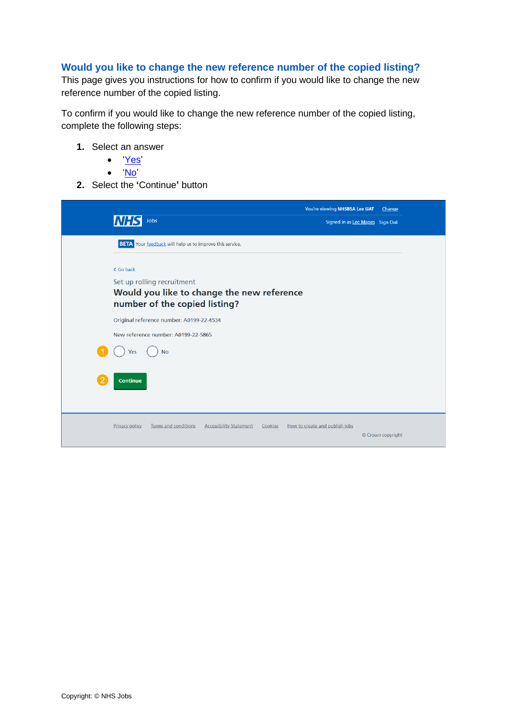#### <span id="page-7-0"></span>**Would you like to change the new reference number of the copied listing?**

This page gives you instructions for how to confirm if you would like to change the new reference number of the copied listing.

To confirm if you would like to change the new reference number of the copied listing, complete the following steps:

- **1.** Select an answer
	- ['Yes'](#page-8-0)
	- ['No'](#page-9-0)
- **2.** Select the **'**Continue**'** button

|               |                                                                                                   | You're viewing NHSBSA Lee UAT   | Change            |
|---------------|---------------------------------------------------------------------------------------------------|---------------------------------|-------------------|
|               | Jobs                                                                                              | Signed in as Lee Mapes Sign Out |                   |
|               | <b>BETA</b> Your feedback will help us to improve this service.                                   |                                 |                   |
|               | < Go back<br>Set up rolling recruitment<br>Would you like to change the new reference             |                                 |                   |
|               | number of the copied listing?                                                                     |                                 |                   |
|               | Original reference number: A0199-22-4534                                                          |                                 |                   |
|               | New reference number: A0199-22-5865                                                               |                                 |                   |
|               | <b>No</b><br>es /                                                                                 |                                 |                   |
| $\mathcal{P}$ | <b>Continue</b>                                                                                   |                                 |                   |
|               | <b>Terms and conditions</b><br><b>Accessibility Statement</b><br><b>Privacy policy</b><br>Cookies | How to create and publish jobs  | © Crown copyright |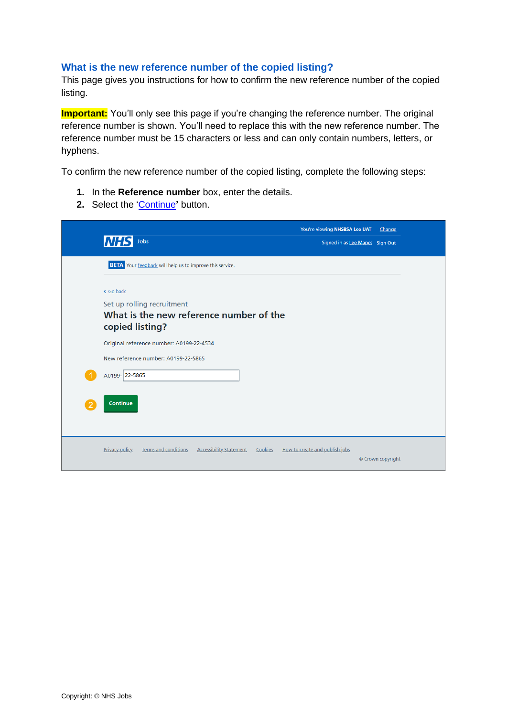#### <span id="page-8-0"></span>**What is the new reference number of the copied listing?**

This page gives you instructions for how to confirm the new reference number of the copied listing.

**Important:** You'll only see this page if you're changing the reference number. The original reference number is shown. You'll need to replace this with the new reference number. The reference number must be 15 characters or less and can only contain numbers, letters, or hyphens.

To confirm the new reference number of the copied listing, complete the following steps:

- **1.** In the **Reference number** box, enter the details.
- **2.** Select the ['Continue](#page-9-0)**'** button.

|                                                                                                   | You're viewing NHSBSA Lee UAT   | Change            |
|---------------------------------------------------------------------------------------------------|---------------------------------|-------------------|
| <b>INHS</b><br>Jobs                                                                               | Signed in as Lee Mapes Sign Out |                   |
| <b>BETA</b> Your feedback will help us to improve this service.                                   |                                 |                   |
| < Go back                                                                                         |                                 |                   |
| Set up rolling recruitment                                                                        |                                 |                   |
| What is the new reference number of the<br>copied listing?                                        |                                 |                   |
| Original reference number: A0199-22-4534                                                          |                                 |                   |
| New reference number: A0199-22-5865                                                               |                                 |                   |
| A0199-22-5865                                                                                     |                                 |                   |
|                                                                                                   |                                 |                   |
| <b>Continue</b>                                                                                   |                                 |                   |
|                                                                                                   |                                 |                   |
| <b>Privacy policy</b><br><b>Terms and conditions</b><br><b>Accessibility Statement</b><br>Cookies | How to create and publish jobs  | © Crown copyright |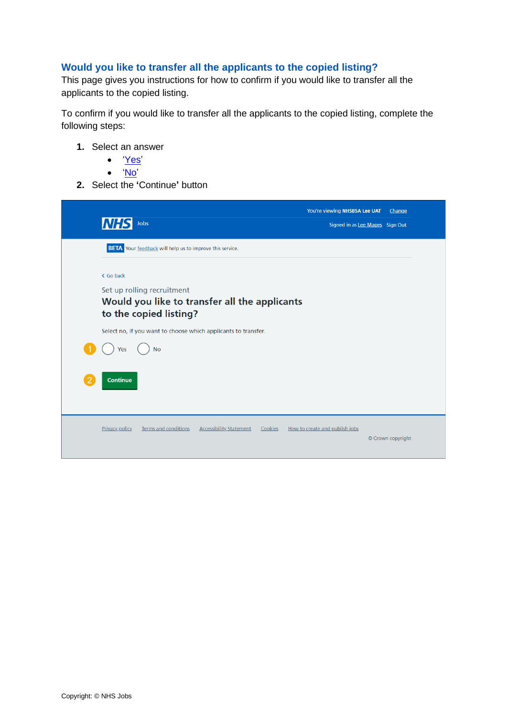# <span id="page-9-0"></span>**Would you like to transfer all the applicants to the copied listing?**

This page gives you instructions for how to confirm if you would like to transfer all the applicants to the copied listing.

To confirm if you would like to transfer all the applicants to the copied listing, complete the following steps:

- **1.** Select an answer
	- ['Yes'](#page-12-0)
	- ['No'](#page-10-0)
- **2.** Select the **'**Continue**'** button

| Jobs                                                                                                               | You're viewing NHSBSA Lee UAT<br>Signed in as Lee Mapes Sign Out | Change            |
|--------------------------------------------------------------------------------------------------------------------|------------------------------------------------------------------|-------------------|
| <b>BETA</b> Your feedback will help us to improve this service.                                                    |                                                                  |                   |
| < Go back<br>Set up rolling recruitment<br>Would you like to transfer all the applicants<br>to the copied listing? |                                                                  |                   |
| Select no, if you want to choose which applicants to transfer.                                                     |                                                                  |                   |
| <b>No</b><br>Yes                                                                                                   |                                                                  |                   |
| <b>Continue</b>                                                                                                    |                                                                  |                   |
| <b>Privacy policy</b><br><b>Terms and conditions</b><br><b>Accessibility Statement</b><br>Cookies                  | How to create and publish jobs                                   | © Crown copyright |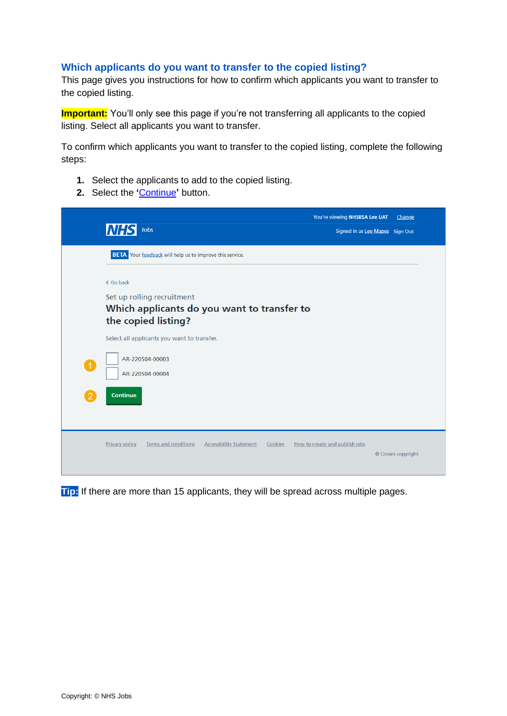#### <span id="page-10-0"></span>**Which applicants do you want to transfer to the copied listing?**

This page gives you instructions for how to confirm which applicants you want to transfer to the copied listing.

**Important:** You'll only see this page if you're not transferring all applicants to the copied listing. Select all applicants you want to transfer.

To confirm which applicants you want to transfer to the copied listing, complete the following steps:

- **1.** Select the applicants to add to the copied listing.
- **2.** Select the **'**[Continue](#page-12-0)**'** button.

| <b>NHS</b><br>Jobs                                                                                                                                                                                                                                                    | You're viewing NHSBSA Lee UAT<br>Signed in as Lee Mapes Sign Out | Change            |
|-----------------------------------------------------------------------------------------------------------------------------------------------------------------------------------------------------------------------------------------------------------------------|------------------------------------------------------------------|-------------------|
| <b>BETA</b> Your feedback will help us to improve this service.<br>< Go back<br>Set up rolling recruitment<br>Which applicants do you want to transfer to<br>the copied listing?<br>Select all applicants you want to transfer.<br>AR-220504-00003<br>AR-220504-00004 |                                                                  |                   |
| <b>Continue</b><br><b>Terms and conditions</b><br><b>Accessibility Statement</b><br>Privacy policy<br>Cookies                                                                                                                                                         | How to create and publish jobs                                   | © Crown copyright |

**Tip:** If there are more than 15 applicants, they will be spread across multiple pages.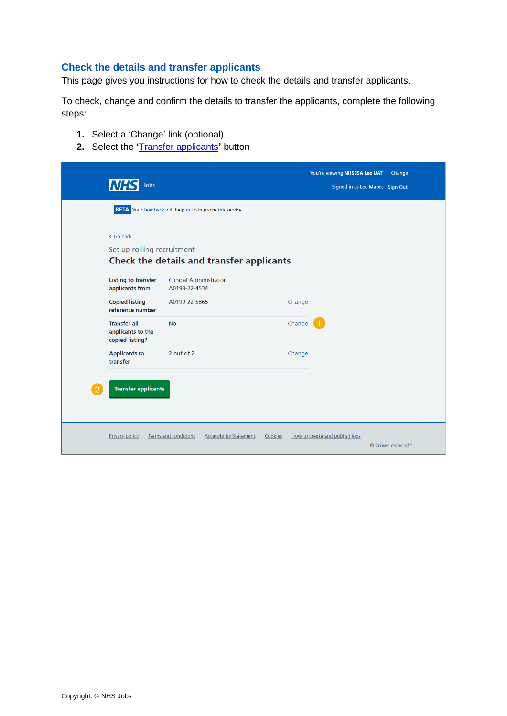# <span id="page-11-0"></span>**Check the details and transfer applicants**

This page gives you instructions for how to check the details and transfer applicants.

To check, change and confirm the details to transfer the applicants, complete the following steps:

- **1.** Select a 'Change' link (optional).
- **2.** Select the **'**[Transfer applicants](#page-12-0)**'** button

|                                                             |                                                                 |         | You're viewing NHSBSA Lee UAT   | Change            |
|-------------------------------------------------------------|-----------------------------------------------------------------|---------|---------------------------------|-------------------|
| Jobs                                                        |                                                                 |         | Signed in as Lee Mapes Sign Out |                   |
|                                                             | <b>BETA</b> Your feedback will help us to improve this service. |         |                                 |                   |
| < Go back                                                   |                                                                 |         |                                 |                   |
| Set up rolling recruitment                                  |                                                                 |         |                                 |                   |
|                                                             | Check the details and transfer applicants                       |         |                                 |                   |
| <b>Listing to transfer</b><br>applicants from               | <b>Clinical Administrator</b><br>A0199-22-4534                  |         |                                 |                   |
| <b>Copied listing</b><br>reference number                   | A0199-22-5865                                                   | Change  |                                 |                   |
| <b>Transfer all</b><br>applicants to the<br>copied listing? | <b>No</b>                                                       | Change  |                                 |                   |
| <b>Applicants to</b><br>transfer                            | 2 out of 2                                                      | Change  |                                 |                   |
| <b>Transfer applicants</b>                                  |                                                                 |         |                                 |                   |
|                                                             |                                                                 |         |                                 |                   |
|                                                             |                                                                 |         |                                 |                   |
| <b>Privacy policy</b>                                       | <b>Terms and conditions</b><br><b>Accessibility Statement</b>   | Cookies | How to create and publish jobs  | © Crown copyright |